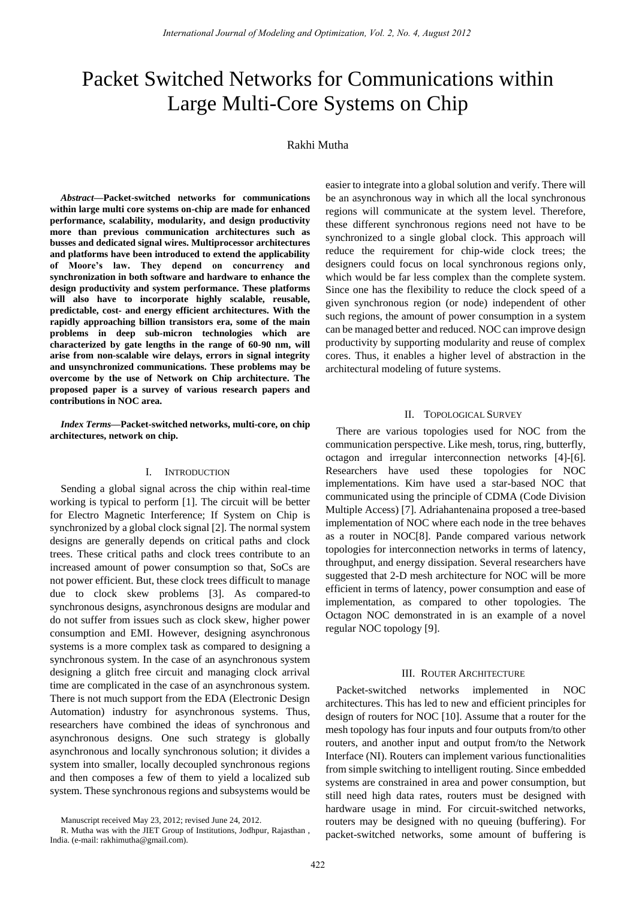# Packet Switched Networks for Communications within Large Multi-Core Systems on Chip

# Rakhi Mutha

*Abstract***—Packet-switched networks for communications within large multi core systems on-chip are made for enhanced performance, scalability, modularity, and design productivity more than previous communication architectures such as busses and dedicated signal wires. Multiprocessor architectures and platforms have been introduced to extend the applicability of Moore's law. They depend on concurrency and synchronization in both software and hardware to enhance the design productivity and system performance. These platforms will also have to incorporate highly scalable, reusable, predictable, cost- and energy efficient architectures. With the rapidly approaching billion transistors era, some of the main problems in deep sub-micron technologies which are characterized by gate lengths in the range of 60-90 nm, will arise from non-scalable wire delays, errors in signal integrity and unsynchronized communications. These problems may be overcome by the use of Network on Chip architecture. The proposed paper is a survey of various research papers and contributions in NOC area.** 

*Index Terms***—Packet-switched networks, multi-core, on chip architectures, network on chip.**

# I. INTRODUCTION

Sending a global signal across the chip within real-time working is typical to perform [1]. The circuit will be better for Electro Magnetic Interference; If System on Chip is synchronized by a global clock signal [2]. The normal system designs are generally depends on critical paths and clock trees. These critical paths and clock trees contribute to an increased amount of power consumption so that, SoCs are not power efficient. But, these clock trees difficult to manage due to clock skew problems [3]. As compared-to synchronous designs, asynchronous designs are modular and do not suffer from issues such as clock skew, higher power consumption and EMI. However, designing asynchronous systems is a more complex task as compared to designing a synchronous system. In the case of an asynchronous system designing a glitch free circuit and managing clock arrival time are complicated in the case of an asynchronous system. There is not much support from the EDA (Electronic Design Automation) industry for asynchronous systems. Thus, researchers have combined the ideas of synchronous and asynchronous designs. One such strategy is globally asynchronous and locally synchronous solution; it divides a system into smaller, locally decoupled synchronous regions and then composes a few of them to yield a localized sub system. These synchronous regions and subsystems would be easier to integrate into a global solution and verify. There will be an asynchronous way in which all the local synchronous regions will communicate at the system level. Therefore, these different synchronous regions need not have to be synchronized to a single global clock. This approach will reduce the requirement for chip-wide clock trees; the designers could focus on local synchronous regions only, which would be far less complex than the complete system. Since one has the flexibility to reduce the clock speed of a given synchronous region (or node) independent of other such regions, the amount of power consumption in a system can be managed better and reduced. NOC can improve design productivity by supporting modularity and reuse of complex cores. Thus, it enables a higher level of abstraction in the architectural modeling of future systems.

# II. TOPOLOGICAL SURVEY

There are various topologies used for NOC from the communication perspective. Like mesh, torus, ring, butterfly, octagon and irregular interconnection networks [4]-[6]. Researchers have used these topologies for NOC implementations. Kim have used a star-based NOC that communicated using the principle of CDMA (Code Division Multiple Access) [7]. Adriahantenaina proposed a tree-based implementation of NOC where each node in the tree behaves as a router in NOC[8]. Pande compared various network topologies for interconnection networks in terms of latency, throughput, and energy dissipation. Several researchers have suggested that 2-D mesh architecture for NOC will be more efficient in terms of latency, power consumption and ease of implementation, as compared to other topologies. The Octagon NOC demonstrated in is an example of a novel regular NOC topology [9].

#### III. ROUTER ARCHITECTURE

Packet-switched networks implemented in NOC architectures. This has led to new and efficient principles for design of routers for NOC [10]. Assume that a router for the mesh topology has four inputs and four outputs from/to other routers, and another input and output from/to the Network Interface (NI). Routers can implement various functionalities from simple switching to intelligent routing. Since embedded systems are constrained in area and power consumption, but still need high data rates, routers must be designed with hardware usage in mind. For circuit-switched networks, routers may be designed with no queuing (buffering). For packet-switched networks, some amount of buffering is

Manuscript received May 23, 2012; revised June 24, 2012.

R. Mutha was with the JIET Group of Institutions, Jodhpur, Rajasthan , India. (e-mail: rakhimutha@gmail.com).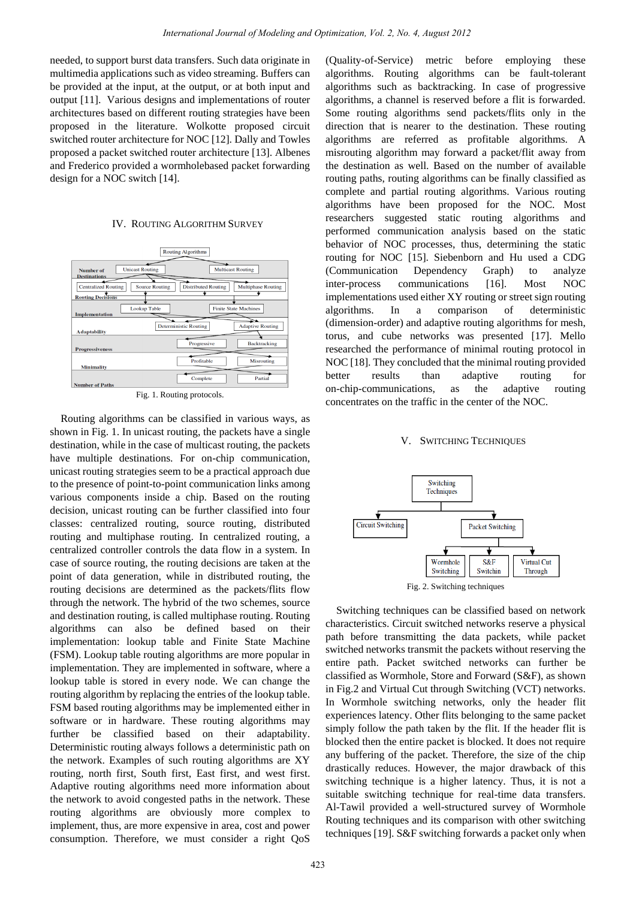needed, to support burst data transfers. Such data originate in multimedia applications such as video streaming. Buffers can be provided at the input, at the output, or at both input and output [11]. Various designs and implementations of router architectures based on different routing strategies have been proposed in the literature. Wolkotte proposed circuit switched router architecture for NOC [12]. Dally and Towles proposed a packet switched router architecture [13]. Albenes and Frederico provided a wormholebased packet forwarding design for a NOC switch [14].

#### IV. ROUTING ALGORITHM SURVEY



Fig. 1. Routing protocols.

Routing algorithms can be classified in various ways, as shown in Fig. 1. In unicast routing, the packets have a single destination, while in the case of multicast routing, the packets have multiple destinations. For on-chip communication, unicast routing strategies seem to be a practical approach due to the presence of point-to-point communication links among various components inside a chip. Based on the routing decision, unicast routing can be further classified into four classes: centralized routing, source routing, distributed routing and multiphase routing. In centralized routing, a centralized controller controls the data flow in a system. In case of source routing, the routing decisions are taken at the point of data generation, while in distributed routing, the routing decisions are determined as the packets/flits flow through the network. The hybrid of the two schemes, source and destination routing, is called multiphase routing. Routing algorithms can also be defined based on their implementation: lookup table and Finite State Machine (FSM). Lookup table routing algorithms are more popular in implementation. They are implemented in software, where a lookup table is stored in every node. We can change the routing algorithm by replacing the entries of the lookup table. FSM based routing algorithms may be implemented either in software or in hardware. These routing algorithms may further be classified based on their adaptability. Deterministic routing always follows a deterministic path on the network. Examples of such routing algorithms are XY routing, north first, South first, East first, and west first. Adaptive routing algorithms need more information about the network to avoid congested paths in the network. These routing algorithms are obviously more complex to implement, thus, are more expensive in area, cost and power consumption. Therefore, we must consider a right QoS

(Quality-of-Service) metric before employing these algorithms. Routing algorithms can be fault-tolerant algorithms such as backtracking. In case of progressive algorithms, a channel is reserved before a flit is forwarded. Some routing algorithms send packets/flits only in the direction that is nearer to the destination. These routing algorithms are referred as profitable algorithms. A misrouting algorithm may forward a packet/flit away from the destination as well. Based on the number of available routing paths, routing algorithms can be finally classified as complete and partial routing algorithms. Various routing algorithms have been proposed for the NOC. Most researchers suggested static routing algorithms and performed communication analysis based on the static behavior of NOC processes, thus, determining the static routing for NOC [15]. Siebenborn and Hu used a CDG (Communication Dependency Graph) to analyze inter-process communications [16]. Most NOC implementations used either XY routing or street sign routing algorithms. In a comparison of deterministic (dimension-order) and adaptive routing algorithms for mesh, torus, and cube networks was presented [17]. Mello researched the performance of minimal routing protocol in NOC [18]. They concluded that the minimal routing provided better results than adaptive routing for on-chip-communications, as the adaptive routing concentrates on the traffic in the center of the NOC.

#### V. SWITCHING TECHNIQUES



Switching techniques can be classified based on network characteristics. Circuit switched networks reserve a physical path before transmitting the data packets, while packet switched networks transmit the packets without reserving the entire path. Packet switched networks can further be classified as Wormhole, Store and Forward (S&F), as shown in Fig.2 and Virtual Cut through Switching (VCT) networks. In Wormhole switching networks, only the header flit experiences latency. Other flits belonging to the same packet simply follow the path taken by the flit. If the header flit is blocked then the entire packet is blocked. It does not require any buffering of the packet. Therefore, the size of the chip drastically reduces. However, the major drawback of this switching technique is a higher latency. Thus, it is not a suitable switching technique for real-time data transfers. Al-Tawil provided a well-structured survey of Wormhole Routing techniques and its comparison with other switching techniques [19]. S&F switching forwards a packet only when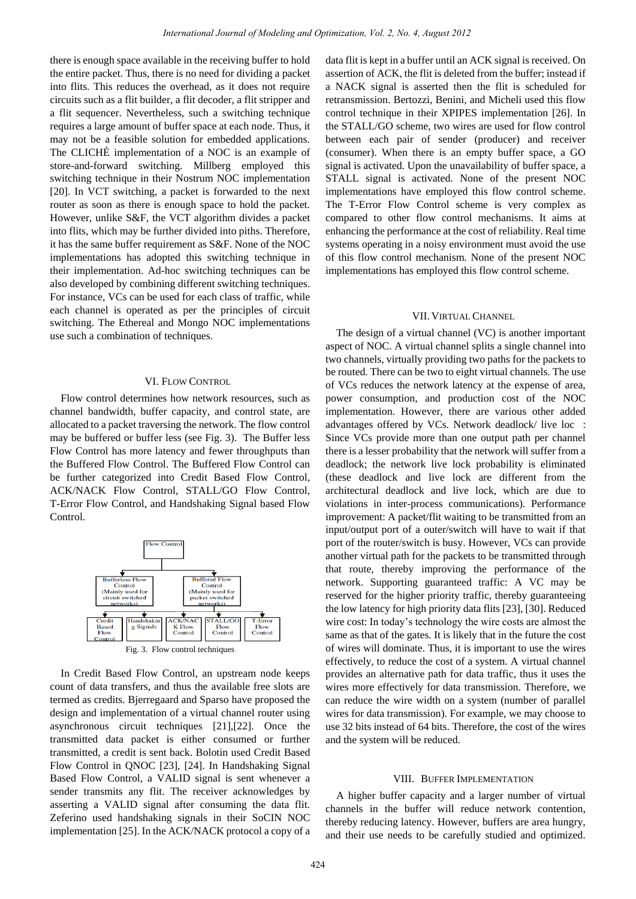there is enough space available in the receiving buffer to hold the entire packet. Thus, there is no need for dividing a packet into flits. This reduces the overhead, as it does not require circuits such as a flit builder, a flit decoder, a flit stripper and a flit sequencer. Nevertheless, such a switching technique requires a large amount of buffer space at each node. Thus, it may not be a feasible solution for embedded applications. The CLICHÉ implementation of a NOC is an example of store-and-forward switching. Millberg employed this switching technique in their Nostrum NOC implementation [20]. In VCT switching, a packet is forwarded to the next router as soon as there is enough space to hold the packet. However, unlike S&F, the VCT algorithm divides a packet into flits, which may be further divided into piths. Therefore, it has the same buffer requirement as S&F. None of the NOC implementations has adopted this switching technique in their implementation. Ad-hoc switching techniques can be also developed by combining different switching techniques. For instance, VCs can be used for each class of traffic, while each channel is operated as per the principles of circuit switching. The Ethereal and Mongo NOC implementations use such a combination of techniques.

# VI. FLOW CONTROL

Flow control determines how network resources, such as channel bandwidth, buffer capacity, and control state, are allocated to a packet traversing the network. The flow control may be buffered or buffer less (see Fig. 3). The Buffer less Flow Control has more latency and fewer throughputs than the Buffered Flow Control. The Buffered Flow Control can be further categorized into Credit Based Flow Control, ACK/NACK Flow Control, STALL/GO Flow Control, T-Error Flow Control, and Handshaking Signal based Flow Control.



In Credit Based Flow Control, an upstream node keeps count of data transfers, and thus the available free slots are termed as credits. Bjerregaard and Sparso have proposed the design and implementation of a virtual channel router using asynchronous circuit techniques [21],[22]. Once the transmitted data packet is either consumed or further transmitted, a credit is sent back. Bolotin used Credit Based Flow Control in QNOC [23], [24]. In Handshaking Signal Based Flow Control, a VALID signal is sent whenever a sender transmits any flit. The receiver acknowledges by asserting a VALID signal after consuming the data flit. Zeferino used handshaking signals in their SoCIN NOC implementation [25]. In the ACK/NACK protocol a copy of a data flit is kept in a buffer until an ACK signal is received. On assertion of ACK, the flit is deleted from the buffer; instead if a NACK signal is asserted then the flit is scheduled for retransmission. Bertozzi, Benini, and Micheli used this flow control technique in their XPIPES implementation [26]. In the STALL/GO scheme, two wires are used for flow control between each pair of sender (producer) and receiver (consumer). When there is an empty buffer space, a GO signal is activated. Upon the unavailability of buffer space, a STALL signal is activated. None of the present NOC implementations have employed this flow control scheme. The T-Error Flow Control scheme is very complex as compared to other flow control mechanisms. It aims at enhancing the performance at the cost of reliability. Real time systems operating in a noisy environment must avoid the use of this flow control mechanism. None of the present NOC implementations has employed this flow control scheme.

#### VII. VIRTUAL CHANNEL

The design of a virtual channel (VC) is another important aspect of NOC. A virtual channel splits a single channel into two channels, virtually providing two paths for the packets to be routed. There can be two to eight virtual channels. The use of VCs reduces the network latency at the expense of area, power consumption, and production cost of the NOC implementation. However, there are various other added advantages offered by VCs. Network deadlock/ live loc : Since VCs provide more than one output path per channel there is a lesser probability that the network will suffer from a deadlock; the network live lock probability is eliminated (these deadlock and live lock are different from the architectural deadlock and live lock, which are due to violations in inter-process communications). Performance improvement: A packet/flit waiting to be transmitted from an input/output port of a outer/switch will have to wait if that port of the router/switch is busy. However, VCs can provide another virtual path for the packets to be transmitted through that route, thereby improving the performance of the network. Supporting guaranteed traffic: A VC may be reserved for the higher priority traffic, thereby guaranteeing the low latency for high priority data flits [23], [30]. Reduced wire cost: In today's technology the wire costs are almost the same as that of the gates. It is likely that in the future the cost of wires will dominate. Thus, it is important to use the wires effectively, to reduce the cost of a system. A virtual channel provides an alternative path for data traffic, thus it uses the wires more effectively for data transmission. Therefore, we can reduce the wire width on a system (number of parallel wires for data transmission). For example, we may choose to use 32 bits instead of 64 bits. Therefore, the cost of the wires and the system will be reduced.

#### VIII. BUFFER IMPLEMENTATION

A higher buffer capacity and a larger number of virtual channels in the buffer will reduce network contention, thereby reducing latency. However, buffers are area hungry, and their use needs to be carefully studied and optimized.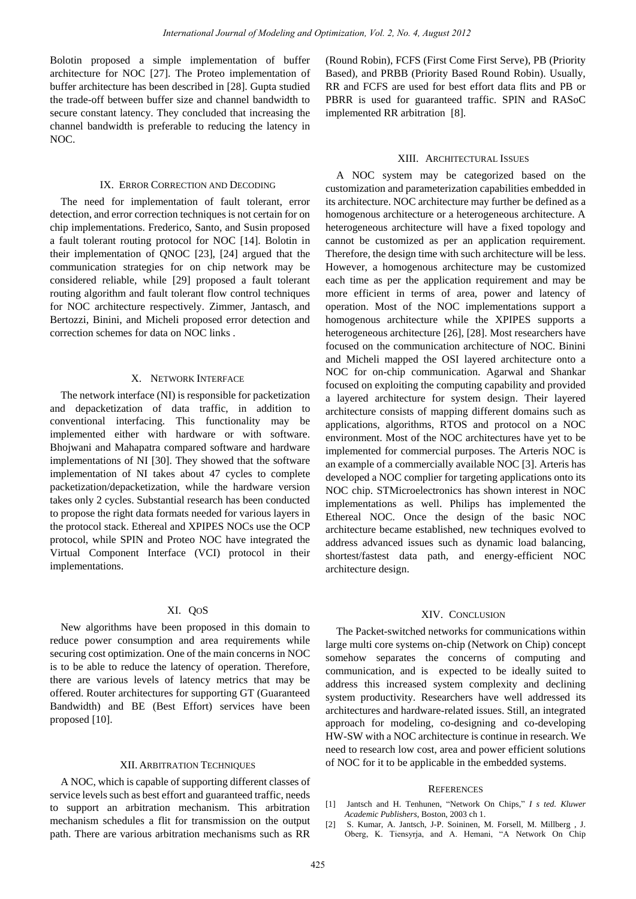Bolotin proposed a simple implementation of buffer architecture for NOC [27]. The Proteo implementation of buffer architecture has been described in [28]. Gupta studied the trade-off between buffer size and channel bandwidth to secure constant latency. They concluded that increasing the channel bandwidth is preferable to reducing the latency in  $NOC$ 

## IX. ERROR CORRECTION AND DECODING

The need for implementation of fault tolerant, error detection, and error correction techniques is not certain for on chip implementations. Frederico, Santo, and Susin proposed a fault tolerant routing protocol for NOC [14]. Bolotin in their implementation of QNOC [23], [24] argued that the communication strategies for on chip network may be considered reliable, while [29] proposed a fault tolerant routing algorithm and fault tolerant flow control techniques for NOC architecture respectively. Zimmer, Jantasch, and Bertozzi, Binini, and Micheli proposed error detection and correction schemes for data on NOC links .

# X. NETWORK INTERFACE

The network interface (NI) is responsible for packetization and depacketization of data traffic, in addition to conventional interfacing. This functionality may be implemented either with hardware or with software. Bhojwani and Mahapatra compared software and hardware implementations of NI [30]. They showed that the software implementation of NI takes about 47 cycles to complete packetization/depacketization, while the hardware version takes only 2 cycles. Substantial research has been conducted to propose the right data formats needed for various layers in the protocol stack. Ethereal and XPIPES NOCs use the OCP protocol, while SPIN and Proteo NOC have integrated the Virtual Component Interface (VCI) protocol in their implementations.

## XI. QOS

New algorithms have been proposed in this domain to reduce power consumption and area requirements while securing cost optimization. One of the main concerns in NOC is to be able to reduce the latency of operation. Therefore, there are various levels of latency metrics that may be offered. Router architectures for supporting GT (Guaranteed Bandwidth) and BE (Best Effort) services have been proposed [10].

## XII. ARBITRATION TECHNIQUES

A NOC, which is capable of supporting different classes of service levels such as best effort and guaranteed traffic, needs to support an arbitration mechanism. This arbitration mechanism schedules a flit for transmission on the output path. There are various arbitration mechanisms such as RR

(Round Robin), FCFS (First Come First Serve), PB (Priority Based), and PRBB (Priority Based Round Robin). Usually, RR and FCFS are used for best effort data flits and PB or PBRR is used for guaranteed traffic. SPIN and RASoC implemented RR arbitration [8].

## XIII. ARCHITECTURAL ISSUES

A NOC system may be categorized based on the customization and parameterization capabilities embedded in its architecture. NOC architecture may further be defined as a homogenous architecture or a heterogeneous architecture. A heterogeneous architecture will have a fixed topology and cannot be customized as per an application requirement. Therefore, the design time with such architecture will be less. However, a homogenous architecture may be customized each time as per the application requirement and may be more efficient in terms of area, power and latency of operation. Most of the NOC implementations support a homogenous architecture while the XPIPES supports a heterogeneous architecture [26], [28]. Most researchers have focused on the communication architecture of NOC. Binini and Micheli mapped the OSI layered architecture onto a NOC for on-chip communication. Agarwal and Shankar focused on exploiting the computing capability and provided a layered architecture for system design. Their layered architecture consists of mapping different domains such as applications, algorithms, RTOS and protocol on a NOC environment. Most of the NOC architectures have yet to be implemented for commercial purposes. The Arteris NOC is an example of a commercially available NOC [3]. Arteris has developed a NOC complier for targeting applications onto its NOC chip. STMicroelectronics has shown interest in NOC implementations as well. Philips has implemented the Ethereal NOC. Once the design of the basic NOC architecture became established, new techniques evolved to address advanced issues such as dynamic load balancing, shortest/fastest data path, and energy-efficient NOC architecture design.

## XIV. CONCLUSION

The Packet-switched networks for communications within large multi core systems on-chip (Network on Chip) concept somehow separates the concerns of computing and communication, and is expected to be ideally suited to address this increased system complexity and declining system productivity. Researchers have well addressed its architectures and hardware-related issues. Still, an integrated approach for modeling, co-designing and co-developing HW-SW with a NOC architecture is continue in research. We need to research low cost, area and power efficient solutions of NOC for it to be applicable in the embedded systems.

## **REFERENCES**

- [1] Jantsch and H. Tenhunen, "Network On Chips," *I s ted. Kluwer Academic Publishers*, Boston, 2003 ch 1.
- [2] S. Kumar, A. Jantsch, J-P. Soininen, M. Forsell, M. Millberg , J. Oberg, K. Tiensyrja, and A. Hemani, "A Network On Chip